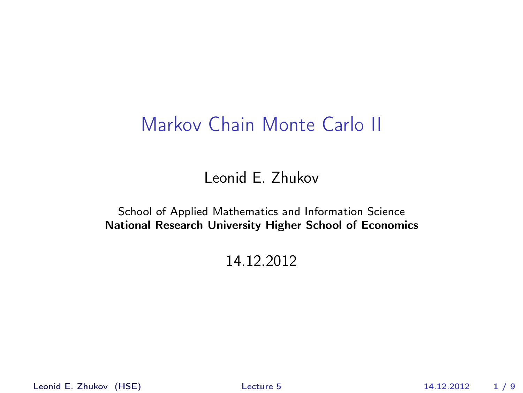## Markov Chain Monte Carlo II

Leonid E. Zhukov

School of Applied Mathematics and Information Science National Research University Higher School of Economics

<span id="page-0-0"></span>14.12.2012

Leonid E. Zhukov (HSE) [Lecture 5](#page-8-0) 14.12.2012 1 / 9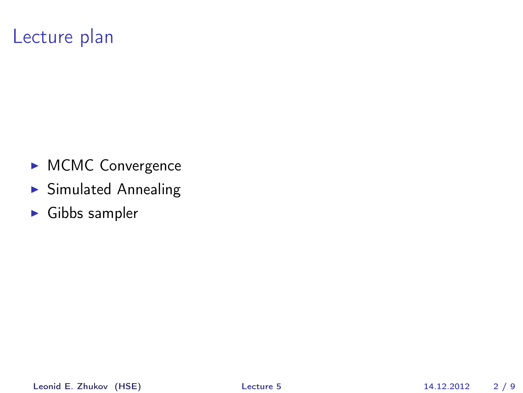## Lecture plan

- **MCMC** Convergence
- $\blacktriangleright$  Simulated Annealing
- $\blacktriangleright$  Gibbs sampler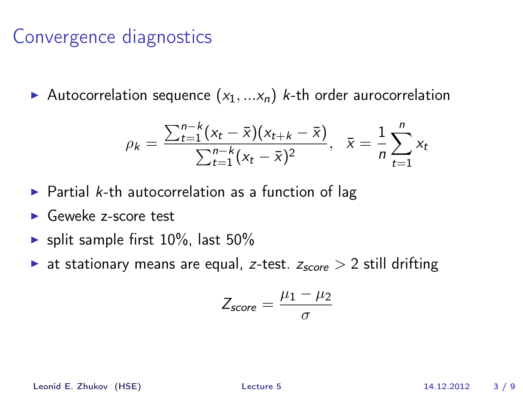## Convergence diagnostics

Autocorrelation sequence  $(x_1,...x_n)$  k-th order aurocorrelation

$$
\rho_k = \frac{\sum_{t=1}^{n-k} (x_t - \bar{x})(x_{t+k} - \bar{x})}{\sum_{t=1}^{n-k} (x_t - \bar{x})^2}, \quad \bar{x} = \frac{1}{n} \sum_{t=1}^{n} x_t
$$

- $\triangleright$  Partial k-th autocorrelation as a function of lag
- <sup>I</sup> Geweke z-score test
- $\blacktriangleright$  split sample first 10%, last 50%
- ightharpoontanary means are equal, z-test.  $z_{score} > 2$  still drifting

$$
Z_{score} = \frac{\mu_1 - \mu_2}{\sigma}
$$

Leonid E. Zhukov (HSE) [Lecture 5](#page-0-0) 14.12.2012 3 / 9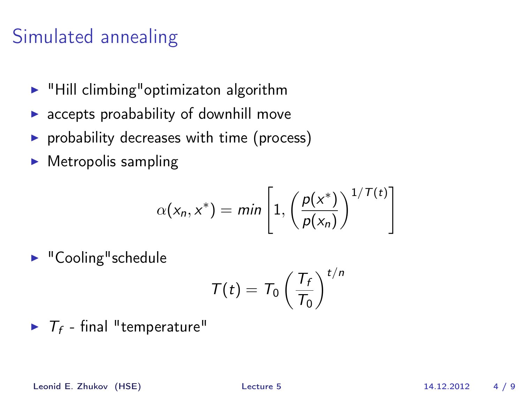# Simulated annealing

- $\blacktriangleright$  "Hill climbing" optimizaton algorithm
- $\triangleright$  accepts proabability of downhill move
- $\triangleright$  probability decreases with time (process)
- $\blacktriangleright$  Metropolis sampling

$$
\alpha(x_n, x^*) = \min\left[1, \left(\frac{p(x^*)}{p(x_n)}\right)^{1/T(t)}\right]
$$

 $\blacktriangleright$  "Cooling" schedule

$$
T(t) = T_0 \left(\frac{T_f}{T_0}\right)^{t/n}
$$

 $\blacktriangleright$   $T_f$  - final "temperature"

Leonid E. Zhukov (HSE) [Lecture 5](#page-0-0) 14.12.2012 4 / 9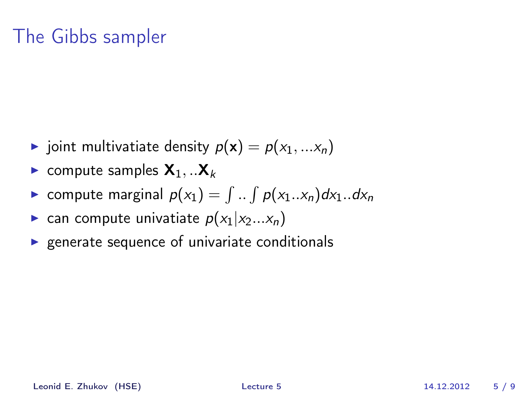## The Gibbs sampler

- ightharpoonup joint multivatiate density  $p(\mathbf{x}) = p(x_1, ... x_n)$
- **Exercise** compute samples  $X_1, ...X_k$
- $\blacktriangleright$  compute marginal  $p(x_1) = \int ... \int p(x_1...x_n)dx_1...dx_n$
- **Exam compute univatiate**  $p(x_1|x_2...x_n)$
- $\triangleright$  generate sequence of univariate conditionals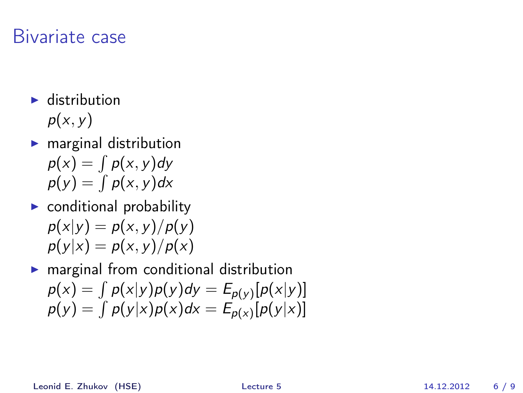#### Bivariate case

- $\blacktriangleright$  distribution  $p(x, y)$
- $\blacktriangleright$  marginal distribution  $p(x) = \int p(x, y) dy$  $p(y) = \int p(x, y) dx$
- $\triangleright$  conditional probability  $p(x|y) = p(x, y)/p(y)$  $p(y|x) = p(x, y)/p(x)$

 $\blacktriangleright$  marginal from conditional distribution  $p(x) = \int p(x|y)p(y)dy = E_{p(y)}[p(x|y)]$  $p(y) = \int p(y|x)p(x)dx = E_{p(x)}[p(y|x)]$ 

Leonid E. Zhukov (HSE) [Lecture 5](#page-0-0) 14.12.2012 6 / 9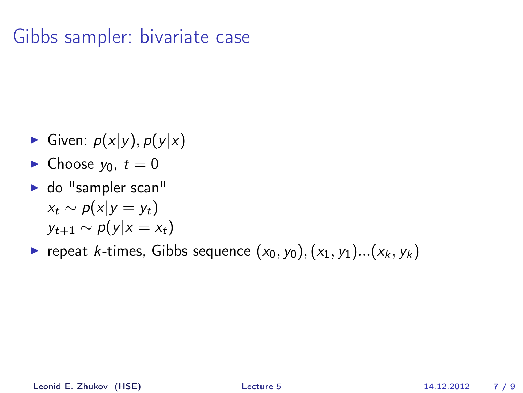## Gibbs sampler: bivariate case

- Given:  $p(x|y)$ ,  $p(y|x)$
- $\blacktriangleright$  Choose  $y_0, t = 0$
- $\blacktriangleright$  do "sampler scan"  $x_t \sim p(x|y = y_t)$  $y_{t+1} \sim p(y|x = x_t)$
- repeat k-times, Gibbs sequence  $(x_0, y_0), (x_1, y_1)...(x_k, y_k)$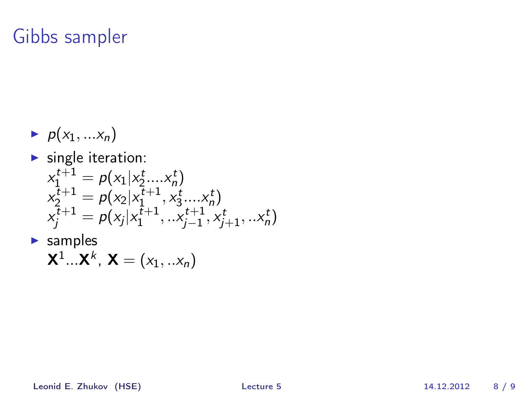## Gibbs sampler

- $\blacktriangleright$   $p(x_1, ... x_n)$
- $\blacktriangleright$  single iteration:

$$
x_1^{t+1} = p(x_1 | x_2^t....x_n^t)
$$
  
\n
$$
x_2^{t+1} = p(x_2 | x_1^{t+1}, x_3^t....x_n^t)
$$
  
\n
$$
x_j^{t+1} = p(x_j | x_1^{t+1}, ...x_{j-1}^{t+1}, x_{j+1}^t,...x_n^t)
$$

 $\blacktriangleright$  samples

$$
\mathbf{X}^1...\mathbf{X}^k, \mathbf{X}=(x_1,..x_n)
$$